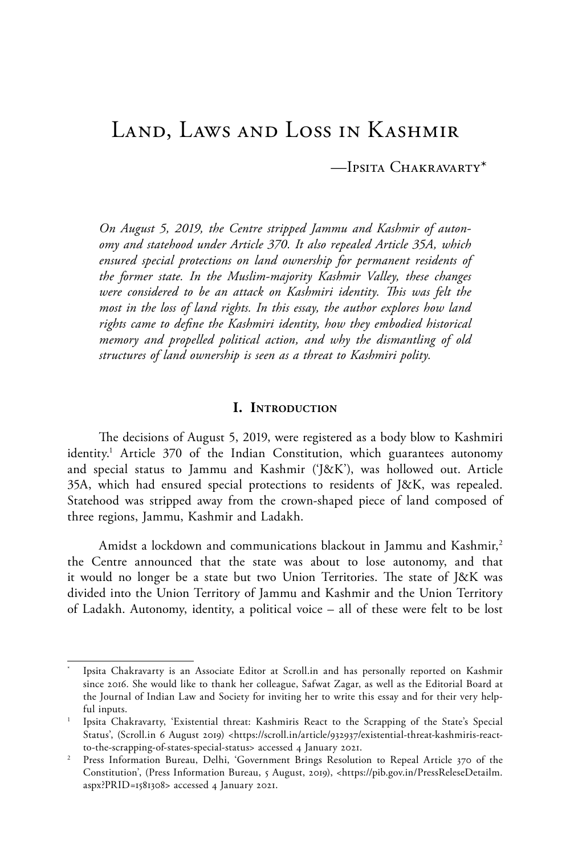# Land, Laws and Loss in Kashmir

—Ipsita Chakravarty\*

*On August 5, 2019, the Centre stripped Jammu and Kashmir of autonomy and statehood under Article 370. It also repealed Article 35A, which ensured special protections on land ownership for permanent residents of the former state. In the Muslim-majority Kashmir Valley, these changes were considered to be an attack on Kashmiri identity. This was felt the most in the loss of land rights. In this essay, the author explores how land rights came to define the Kashmiri identity, how they embodied historical memory and propelled political action, and why the dismantling of old structures of land ownership is seen as a threat to Kashmiri polity.*

### **I. Introduction**

The decisions of August 5, 2019, were registered as a body blow to Kashmiri identity.<sup>1</sup> Article 370 of the Indian Constitution, which guarantees autonomy and special status to Jammu and Kashmir ('J&K'), was hollowed out. Article 35A, which had ensured special protections to residents of J&K, was repealed. Statehood was stripped away from the crown-shaped piece of land composed of three regions, Jammu, Kashmir and Ladakh.

Amidst a lockdown and communications blackout in Jammu and Kashmir,<sup>2</sup> the Centre announced that the state was about to lose autonomy, and that it would no longer be a state but two Union Territories. The state of J&K was divided into the Union Territory of Jammu and Kashmir and the Union Territory of Ladakh. Autonomy, identity, a political voice – all of these were felt to be lost

Ipsita Chakravarty is an Associate Editor at Scroll.in and has personally reported on Kashmir since 2016. She would like to thank her colleague, Safwat Zagar, as well as the Editorial Board at the Journal of Indian Law and Society for inviting her to write this essay and for their very helpful inputs.

<sup>1</sup> Ipsita Chakravarty, 'Existential threat: Kashmiris React to the Scrapping of the State's Special Status', (Scroll.in 6 August 2019) <https://scroll.in/article/932937/existential-threat-kashmiris-reactto-the-scrapping-of-states-special-status> accessed 4 January 2021.

<sup>&</sup>lt;sup>2</sup> Press Information Bureau, Delhi, 'Government Brings Resolution to Repeal Article 370 of the Constitution', (Press Information Bureau, 5 August, 2019), <https://pib.gov.in/PressReleseDetailm. aspx?PRID=1581308> accessed 4 January 2021.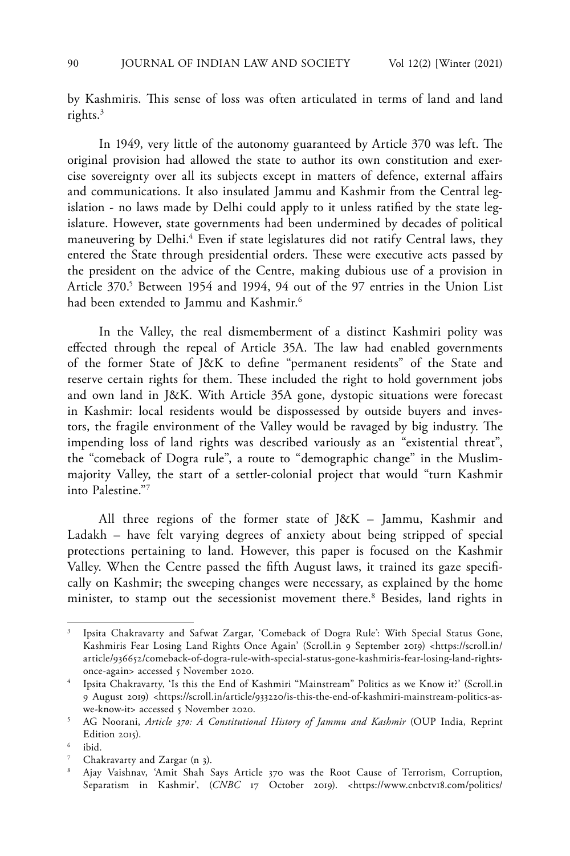by Kashmiris. This sense of loss was often articulated in terms of land and land rights.<sup>3</sup>

In 1949, very little of the autonomy guaranteed by Article 370 was left. The original provision had allowed the state to author its own constitution and exercise sovereignty over all its subjects except in matters of defence, external affairs and communications. It also insulated Jammu and Kashmir from the Central legislation - no laws made by Delhi could apply to it unless ratified by the state legislature. However, state governments had been undermined by decades of political maneuvering by Delhi.<sup>4</sup> Even if state legislatures did not ratify Central laws, they entered the State through presidential orders. These were executive acts passed by the president on the advice of the Centre, making dubious use of a provision in Article 370.<sup>5</sup> Between 1954 and 1994, 94 out of the 97 entries in the Union List had been extended to Jammu and Kashmir.<sup>6</sup>

In the Valley, the real dismemberment of a distinct Kashmiri polity was effected through the repeal of Article 35A. The law had enabled governments of the former State of J&K to define "permanent residents" of the State and reserve certain rights for them. These included the right to hold government jobs and own land in J&K. With Article 35A gone, dystopic situations were forecast in Kashmir: local residents would be dispossessed by outside buyers and investors, the fragile environment of the Valley would be ravaged by big industry. The impending loss of land rights was described variously as an "existential threat", the "comeback of Dogra rule", a route to "demographic change" in the Muslimmajority Valley, the start of a settler-colonial project that would "turn Kashmir into Palestine."7

All three regions of the former state of J&K – Jammu, Kashmir and Ladakh – have felt varying degrees of anxiety about being stripped of special protections pertaining to land. However, this paper is focused on the Kashmir Valley. When the Centre passed the fifth August laws, it trained its gaze specifically on Kashmir; the sweeping changes were necessary, as explained by the home minister, to stamp out the secessionist movement there.<sup>8</sup> Besides, land rights in

<sup>3</sup> Ipsita Chakravarty and Safwat Zargar, 'Comeback of Dogra Rule': With Special Status Gone, Kashmiris Fear Losing Land Rights Once Again' (Scroll.in 9 September 2019) <https://scroll.in/ article/936652/comeback-of-dogra-rule-with-special-status-gone-kashmiris-fear-losing-land-rightsonce-again> accessed 5 November 2020.

<sup>4</sup> Ipsita Chakravarty, 'Is this the End of Kashmiri "Mainstream" Politics as we Know it?' (Scroll.in 9 August 2019) <https://scroll.in/article/933220/is-this-the-end-of-kashmiri-mainstream-politics-aswe-know-it> accessed 5 November 2020.

<sup>5</sup> AG Noorani, *Article 370: A Constitutional History of Jammu and Kashmir* (OUP India, Reprint Edition 2015).

<sup>6</sup> ibid*.*

Chakravarty and Zargar (n 3).

<sup>8</sup> Ajay Vaishnav, 'Amit Shah Says Article 370 was the Root Cause of Terrorism, Corruption, Separatism in Kashmir', (CNBC 17 October 2019). <https://www.cnbctv18.com/politics/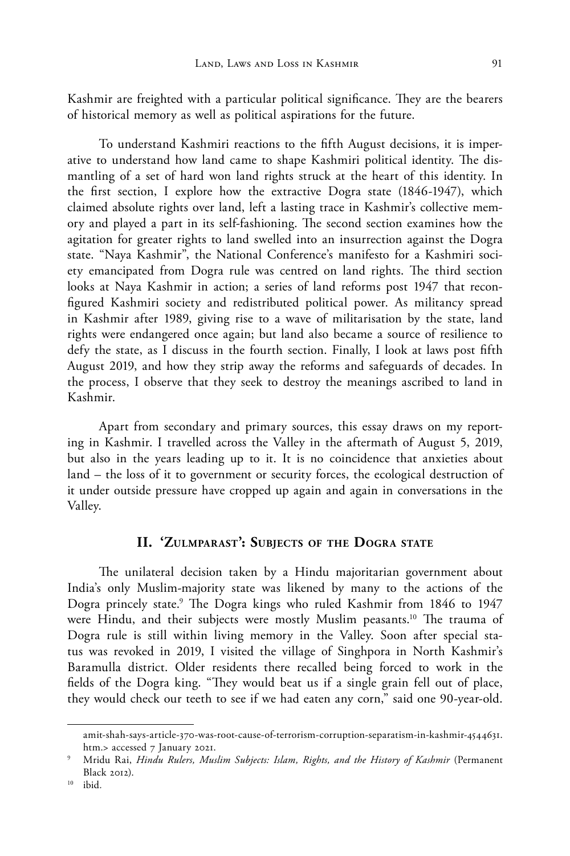Kashmir are freighted with a particular political significance. They are the bearers of historical memory as well as political aspirations for the future.

To understand Kashmiri reactions to the fifth August decisions, it is imperative to understand how land came to shape Kashmiri political identity. The dismantling of a set of hard won land rights struck at the heart of this identity. In the first section, I explore how the extractive Dogra state (1846-1947), which claimed absolute rights over land, left a lasting trace in Kashmir's collective memory and played a part in its self-fashioning. The second section examines how the agitation for greater rights to land swelled into an insurrection against the Dogra state. "Naya Kashmir", the National Conference's manifesto for a Kashmiri society emancipated from Dogra rule was centred on land rights. The third section looks at Naya Kashmir in action; a series of land reforms post 1947 that reconfigured Kashmiri society and redistributed political power. As militancy spread in Kashmir after 1989, giving rise to a wave of militarisation by the state, land rights were endangered once again; but land also became a source of resilience to defy the state, as I discuss in the fourth section. Finally, I look at laws post fifth August 2019, and how they strip away the reforms and safeguards of decades. In the process, I observe that they seek to destroy the meanings ascribed to land in Kashmir.

Apart from secondary and primary sources, this essay draws on my reporting in Kashmir. I travelled across the Valley in the aftermath of August 5, 2019, but also in the years leading up to it. It is no coincidence that anxieties about land – the loss of it to government or security forces, the ecological destruction of it under outside pressure have cropped up again and again in conversations in the Valley.

# **II. 'Zulmparast': Subjects of the Dogra state**

The unilateral decision taken by a Hindu majoritarian government about India's only Muslim-majority state was likened by many to the actions of the Dogra princely state.9 The Dogra kings who ruled Kashmir from 1846 to 1947 were Hindu, and their subjects were mostly Muslim peasants.<sup>10</sup> The trauma of Dogra rule is still within living memory in the Valley. Soon after special status was revoked in 2019, I visited the village of Singhpora in North Kashmir's Baramulla district. Older residents there recalled being forced to work in the fields of the Dogra king. "They would beat us if a single grain fell out of place, they would check our teeth to see if we had eaten any corn," said one 90-year-old.

amit-shah-says-article-370-was-root-cause-of-terrorism-corruption-separatism-in-kashmir-4544631. htm.> accessed 7 January 2021.

Mridu Rai, *Hindu Rulers, Muslim Subjects: Islam, Rights, and the History of Kashmir* (Permanent Black 2012).

<sup>10</sup> ibid*.*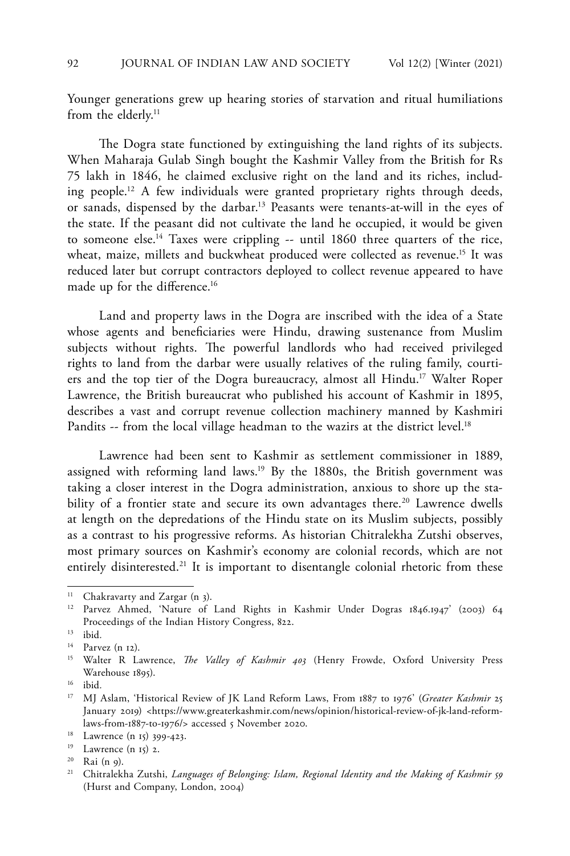Younger generations grew up hearing stories of starvation and ritual humiliations from the elderly.<sup>11</sup>

The Dogra state functioned by extinguishing the land rights of its subjects. When Maharaja Gulab Singh bought the Kashmir Valley from the British for Rs 75 lakh in 1846, he claimed exclusive right on the land and its riches, including people.12 A few individuals were granted proprietary rights through deeds, or sanads, dispensed by the darbar.13 Peasants were tenants-at-will in the eyes of the state. If the peasant did not cultivate the land he occupied, it would be given to someone else.14 Taxes were crippling -- until 1860 three quarters of the rice, wheat, maize, millets and buckwheat produced were collected as revenue.<sup>15</sup> It was reduced later but corrupt contractors deployed to collect revenue appeared to have made up for the difference.<sup>16</sup>

Land and property laws in the Dogra are inscribed with the idea of a State whose agents and beneficiaries were Hindu, drawing sustenance from Muslim subjects without rights. The powerful landlords who had received privileged rights to land from the darbar were usually relatives of the ruling family, courtiers and the top tier of the Dogra bureaucracy, almost all Hindu.<sup>17</sup> Walter Roper Lawrence, the British bureaucrat who published his account of Kashmir in 1895, describes a vast and corrupt revenue collection machinery manned by Kashmiri Pandits -- from the local village headman to the wazirs at the district level.<sup>18</sup>

Lawrence had been sent to Kashmir as settlement commissioner in 1889, assigned with reforming land laws.<sup>19</sup> By the 1880s, the British government was taking a closer interest in the Dogra administration, anxious to shore up the stability of a frontier state and secure its own advantages there.<sup>20</sup> Lawrence dwells at length on the depredations of the Hindu state on its Muslim subjects, possibly as a contrast to his progressive reforms. As historian Chitralekha Zutshi observes, most primary sources on Kashmir's economy are colonial records, which are not entirely disinterested.<sup>21</sup> It is important to disentangle colonial rhetoric from these

<sup>&</sup>lt;sup>11</sup> Chakravarty and Zargar (n 3).

<sup>12</sup> Parvez Ahmed, 'Nature of Land Rights in Kashmir Under Dogras 1846.1947' (2003) 64 Proceedings of the Indian History Congress, 822.

<sup>13</sup> ibid*.*

<sup>14</sup> Parvez (n 12).

<sup>15</sup> Walter R Lawrence, *The Valley of Kashmir 403* (Henry Frowde, Oxford University Press Warehouse 1895).

<sup>16</sup> ibid*.*

<sup>17</sup> MJ Aslam, 'Historical Review of JK Land Reform Laws, From 1887 to 1976' (*Greater Kashmir* 25 January 2019) <https://www.greaterkashmir.com/news/opinion/historical-review-of-jk-land-reformlaws-from-1887-to-1976/> accessed 5 November 2020.

<sup>18</sup> Lawrence (n 15) 399-423.

<sup>19</sup> Lawrence (n 15) 2.

<sup>20</sup> Rai (n 9).

<sup>&</sup>lt;sup>21</sup> Chitralekha Zutshi, *Languages of Belonging: Islam, Regional Identity and the Making of Kashmir 59* (Hurst and Company, London, 2004)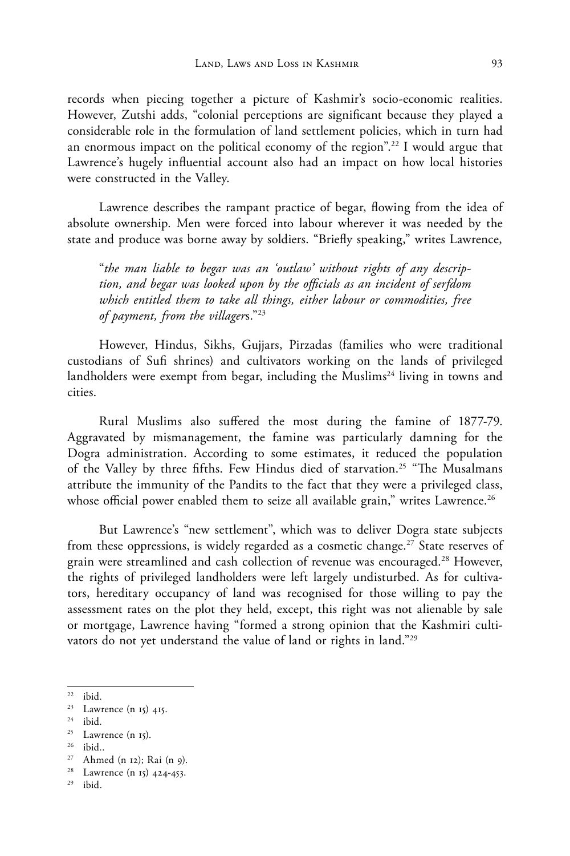records when piecing together a picture of Kashmir's socio-economic realities. However, Zutshi adds, "colonial perceptions are significant because they played a considerable role in the formulation of land settlement policies, which in turn had an enormous impact on the political economy of the region".<sup>22</sup> I would argue that Lawrence's hugely influential account also had an impact on how local histories were constructed in the Valley.

Lawrence describes the rampant practice of begar, flowing from the idea of absolute ownership. Men were forced into labour wherever it was needed by the state and produce was borne away by soldiers. "Briefly speaking," writes Lawrence,

"*the man liable to begar was an 'outlaw' without rights of any description, and begar was looked upon by the officials as an incident of serfdom which entitled them to take all things, either labour or commodities, free of payment, from the villager*s."23

However, Hindus, Sikhs, Gujjars, Pirzadas (families who were traditional custodians of Sufi shrines) and cultivators working on the lands of privileged landholders were exempt from begar, including the Muslims<sup>24</sup> living in towns and cities.

Rural Muslims also suffered the most during the famine of 1877-79. Aggravated by mismanagement, the famine was particularly damning for the Dogra administration. According to some estimates, it reduced the population of the Valley by three fifths. Few Hindus died of starvation.<sup>25</sup> "The Musalmans attribute the immunity of the Pandits to the fact that they were a privileged class, whose official power enabled them to seize all available grain," writes Lawrence.<sup>26</sup>

But Lawrence's "new settlement", which was to deliver Dogra state subjects from these oppressions, is widely regarded as a cosmetic change.<sup>27</sup> State reserves of grain were streamlined and cash collection of revenue was encouraged.<sup>28</sup> However, the rights of privileged landholders were left largely undisturbed. As for cultivators, hereditary occupancy of land was recognised for those willing to pay the assessment rates on the plot they held, except, this right was not alienable by sale or mortgage, Lawrence having "formed a strong opinion that the Kashmiri cultivators do not yet understand the value of land or rights in land."29

<sup>22</sup> ibid*.*

<sup>23</sup> Lawrence (n 15) 415.

<sup>24</sup> ibid*.*

 $25$  Lawrence (n 15).

<sup>26</sup> ibid*.*.

 $27$  Ahmed (n 12); Rai (n 9).

<sup>28</sup> Lawrence (n 15) 424-453.

 $29$  ibid.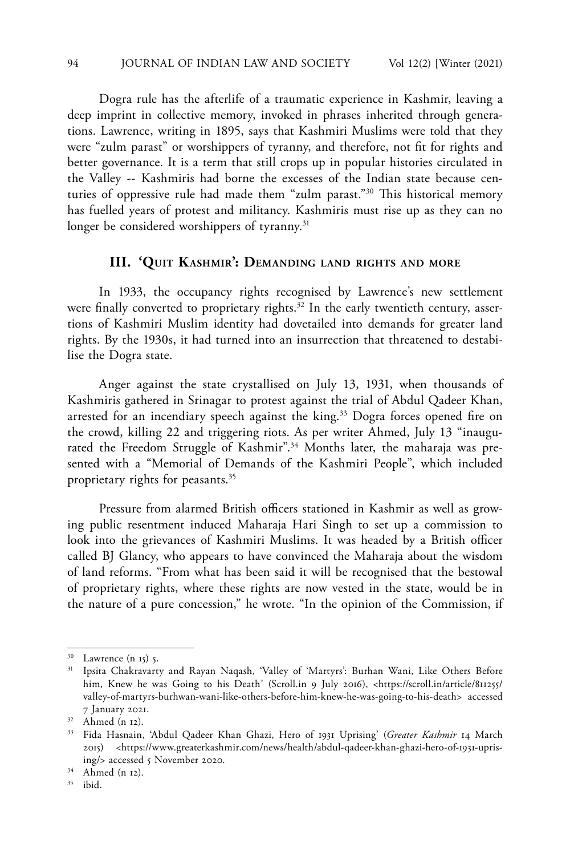Dogra rule has the afterlife of a traumatic experience in Kashmir, leaving a deep imprint in collective memory, invoked in phrases inherited through generations. Lawrence, writing in 1895, says that Kashmiri Muslims were told that they were "zulm parast" or worshippers of tyranny, and therefore, not fit for rights and better governance. It is a term that still crops up in popular histories circulated in the Valley -- Kashmiris had borne the excesses of the Indian state because centuries of oppressive rule had made them "zulm parast."30 This historical memory has fuelled years of protest and militancy. Kashmiris must rise up as they can no longer be considered worshippers of tyranny.<sup>31</sup>

# **III. 'Quit Kashmir': Demanding land rights and more**

In 1933, the occupancy rights recognised by Lawrence's new settlement were finally converted to proprietary rights.<sup>32</sup> In the early twentieth century, assertions of Kashmiri Muslim identity had dovetailed into demands for greater land rights. By the 1930s, it had turned into an insurrection that threatened to destabilise the Dogra state.

Anger against the state crystallised on July 13, 1931, when thousands of Kashmiris gathered in Srinagar to protest against the trial of Abdul Qadeer Khan, arrested for an incendiary speech against the king.<sup>33</sup> Dogra forces opened fire on the crowd, killing 22 and triggering riots. As per writer Ahmed, July 13 "inaugurated the Freedom Struggle of Kashmir".<sup>34</sup> Months later, the maharaja was presented with a "Memorial of Demands of the Kashmiri People", which included proprietary rights for peasants.35

Pressure from alarmed British officers stationed in Kashmir as well as growing public resentment induced Maharaja Hari Singh to set up a commission to look into the grievances of Kashmiri Muslims. It was headed by a British officer called BJ Glancy, who appears to have convinced the Maharaja about the wisdom of land reforms. "From what has been said it will be recognised that the bestowal of proprietary rights, where these rights are now vested in the state, would be in the nature of a pure concession," he wrote. "In the opinion of the Commission, if

<sup>35</sup> ibid.

Lawrence  $(n 15)$  5.

<sup>31</sup> Ipsita Chakravarty and Rayan Naqash, 'Valley of 'Martyrs': Burhan Wani, Like Others Before him, Knew he was Going to his Death' (Scroll.in 9 July 2016), <https://scroll.in/article/811255/ valley-of-martyrs-burhwan-wani-like-others-before-him-knew-he-was-going-to-his-death> accessed 7 January 2021.

<sup>32</sup> Ahmed (n 12).

<sup>33</sup> Fida Hasnain, 'Abdul Qadeer Khan Ghazi, Hero of 1931 Uprising' (*Greater Kashmir* 14 March 2015) <https://www.greaterkashmir.com/news/health/abdul-qadeer-khan-ghazi-hero-of-1931-uprising/> accessed 5 November 2020.

<sup>34</sup> Ahmed (n 12).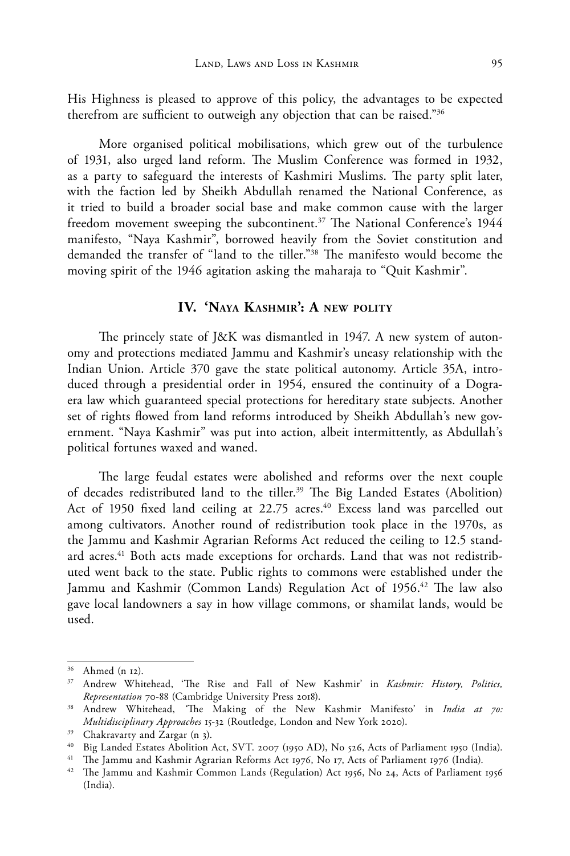His Highness is pleased to approve of this policy, the advantages to be expected therefrom are sufficient to outweigh any objection that can be raised."36

More organised political mobilisations, which grew out of the turbulence of 1931, also urged land reform. The Muslim Conference was formed in 1932, as a party to safeguard the interests of Kashmiri Muslims. The party split later, with the faction led by Sheikh Abdullah renamed the National Conference, as it tried to build a broader social base and make common cause with the larger freedom movement sweeping the subcontinent.<sup>37</sup> The National Conference's 1944 manifesto, "Naya Kashmir", borrowed heavily from the Soviet constitution and demanded the transfer of "land to the tiller."38 The manifesto would become the moving spirit of the 1946 agitation asking the maharaja to "Quit Kashmir".

# **IV. 'Naya Kashmir': A new polity**

The princely state of J&K was dismantled in 1947. A new system of autonomy and protections mediated Jammu and Kashmir's uneasy relationship with the Indian Union. Article 370 gave the state political autonomy. Article 35A, introduced through a presidential order in 1954, ensured the continuity of a Dograera law which guaranteed special protections for hereditary state subjects. Another set of rights flowed from land reforms introduced by Sheikh Abdullah's new government. "Naya Kashmir" was put into action, albeit intermittently, as Abdullah's political fortunes waxed and waned.

The large feudal estates were abolished and reforms over the next couple of decades redistributed land to the tiller.<sup>39</sup> The Big Landed Estates (Abolition) Act of 1950 fixed land ceiling at 22.75 acres.<sup>40</sup> Excess land was parcelled out among cultivators. Another round of redistribution took place in the 1970s, as the Jammu and Kashmir Agrarian Reforms Act reduced the ceiling to 12.5 standard acres.<sup>41</sup> Both acts made exceptions for orchards. Land that was not redistributed went back to the state. Public rights to commons were established under the Jammu and Kashmir (Common Lands) Regulation Act of 1956.<sup>42</sup> The law also gave local landowners a say in how village commons, or shamilat lands, would be used.

<sup>36</sup> Ahmed (n 12).

<sup>37</sup> Andrew Whitehead, 'The Rise and Fall of New Kashmir' in *Kashmir: History, Politics, Representation* 70-88 (Cambridge University Press 2018).

<sup>38</sup> Andrew Whitehead, *'*The Making of the New Kashmir Manifesto' in *India at 70: Multidisciplinary Approaches* 15-32 (Routledge, London and New York 2020).

<sup>39</sup> Chakravarty and Zargar (n 3).

<sup>40</sup> Big Landed Estates Abolition Act, SVT. 2007 (1950 AD), No 526, Acts of Parliament 1950 (India).

<sup>&</sup>lt;sup>41</sup> The Jammu and Kashmir Agrarian Reforms Act 1976, No 17, Acts of Parliament 1976 (India).

<sup>42</sup> The Jammu and Kashmir Common Lands (Regulation) Act 1956, No 24, Acts of Parliament 1956 (India).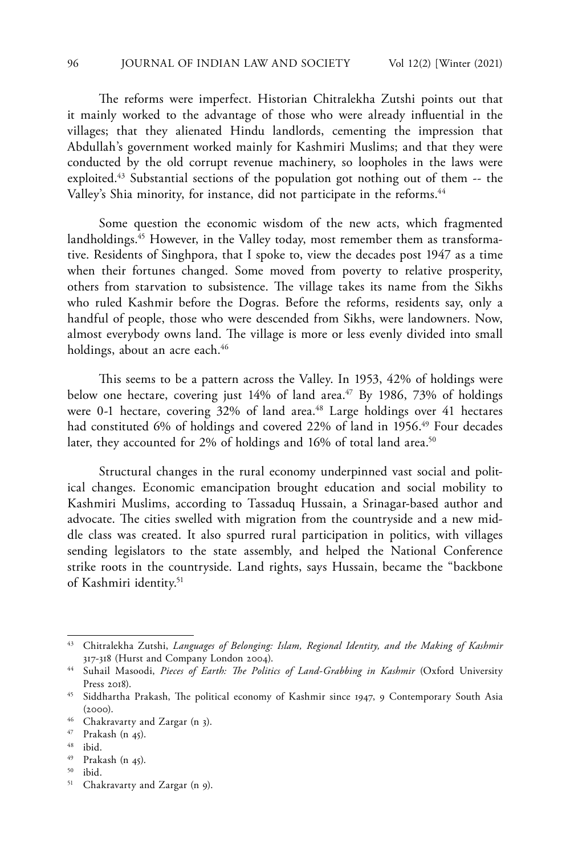The reforms were imperfect. Historian Chitralekha Zutshi points out that it mainly worked to the advantage of those who were already influential in the villages; that they alienated Hindu landlords, cementing the impression that Abdullah's government worked mainly for Kashmiri Muslims; and that they were conducted by the old corrupt revenue machinery, so loopholes in the laws were exploited.<sup>43</sup> Substantial sections of the population got nothing out of them -- the Valley's Shia minority, for instance, did not participate in the reforms.<sup>44</sup>

Some question the economic wisdom of the new acts, which fragmented landholdings.<sup>45</sup> However, in the Valley today, most remember them as transformative. Residents of Singhpora, that I spoke to, view the decades post 1947 as a time when their fortunes changed. Some moved from poverty to relative prosperity, others from starvation to subsistence. The village takes its name from the Sikhs who ruled Kashmir before the Dogras. Before the reforms, residents say, only a handful of people, those who were descended from Sikhs, were landowners. Now, almost everybody owns land. The village is more or less evenly divided into small holdings, about an acre each.<sup>46</sup>

This seems to be a pattern across the Valley. In 1953, 42% of holdings were below one hectare, covering just  $14\%$  of land area.<sup>47</sup> By 1986, 73% of holdings were 0-1 hectare, covering 32% of land area.<sup>48</sup> Large holdings over 41 hectares had constituted 6% of holdings and covered 22% of land in 1956.<sup>49</sup> Four decades later, they accounted for 2% of holdings and 16% of total land area.<sup>50</sup>

Structural changes in the rural economy underpinned vast social and political changes. Economic emancipation brought education and social mobility to Kashmiri Muslims, according to Tassaduq Hussain, a Srinagar-based author and advocate. The cities swelled with migration from the countryside and a new middle class was created. It also spurred rural participation in politics, with villages sending legislators to the state assembly, and helped the National Conference strike roots in the countryside. Land rights, says Hussain, became the "backbone of Kashmiri identity.51

<sup>43</sup> Chitralekha Zutshi, *Languages of Belonging: Islam, Regional Identity, and the Making of Kashmir*  317-318 (Hurst and Company London 2004).

<sup>&</sup>lt;sup>44</sup> Suhail Masoodi, *Pieces of Earth: The Politics of Land-Grabbing in Kashmir* (Oxford University Press 2018).

<sup>&</sup>lt;sup>45</sup> Siddhartha Prakash, The political economy of Kashmir since 1947, 9 Contemporary South Asia  $(2000).$ 

<sup>46</sup> Chakravarty and Zargar (n 3).

<sup>47</sup> Prakash (n 45).

<sup>48</sup> ibid.

<sup>49</sup> Prakash (n 45).

<sup>50</sup> ibid.

<sup>51</sup> Chakravarty and Zargar (n 9).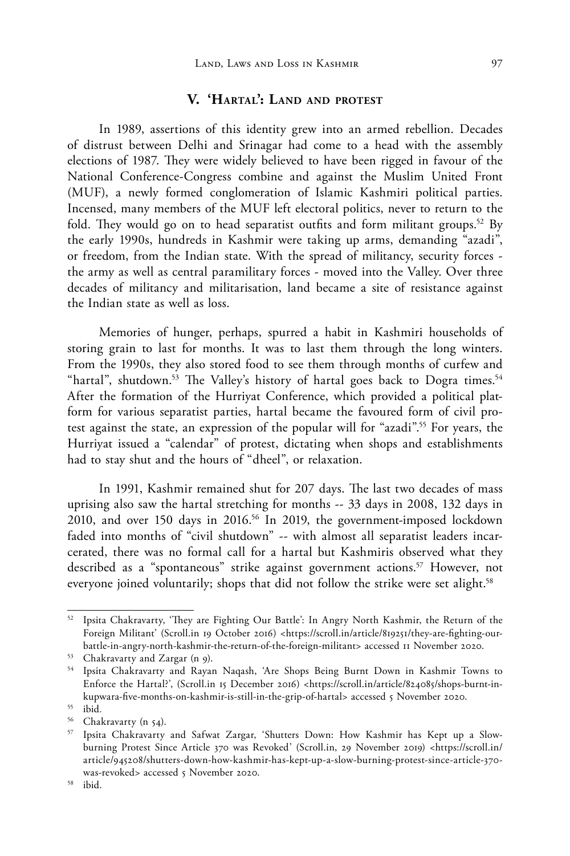### **V. 'Hartal': Land and protest**

In 1989, assertions of this identity grew into an armed rebellion. Decades of distrust between Delhi and Srinagar had come to a head with the assembly elections of 1987. They were widely believed to have been rigged in favour of the National Conference-Congress combine and against the Muslim United Front (MUF), a newly formed conglomeration of Islamic Kashmiri political parties. Incensed, many members of the MUF left electoral politics, never to return to the fold. They would go on to head separatist outfits and form militant groups.<sup>52</sup> By the early 1990s, hundreds in Kashmir were taking up arms, demanding "azadi", or freedom, from the Indian state. With the spread of militancy, security forces the army as well as central paramilitary forces - moved into the Valley. Over three decades of militancy and militarisation, land became a site of resistance against the Indian state as well as loss.

Memories of hunger, perhaps, spurred a habit in Kashmiri households of storing grain to last for months. It was to last them through the long winters. From the 1990s, they also stored food to see them through months of curfew and "hartal", shutdown.<sup>53</sup> The Valley's history of hartal goes back to Dogra times.<sup>54</sup> After the formation of the Hurriyat Conference, which provided a political platform for various separatist parties, hartal became the favoured form of civil protest against the state, an expression of the popular will for "azadi".55 For years, the Hurriyat issued a "calendar" of protest, dictating when shops and establishments had to stay shut and the hours of "dheel", or relaxation.

In 1991, Kashmir remained shut for 207 days. The last two decades of mass uprising also saw the hartal stretching for months -- 33 days in 2008, 132 days in 2010, and over 150 days in 2016.56 In 2019, the government-imposed lockdown faded into months of "civil shutdown" -- with almost all separatist leaders incarcerated, there was no formal call for a hartal but Kashmiris observed what they described as a "spontaneous" strike against government actions.<sup>57</sup> However, not everyone joined voluntarily; shops that did not follow the strike were set alight.<sup>58</sup>

Ipsita Chakravarty, 'They are Fighting Our Battle': In Angry North Kashmir, the Return of the Foreign Militant' (Scroll.in 19 October 2016) <https://scroll.in/article/819251/they-are-fighting-ourbattle-in-angry-north-kashmir-the-return-of-the-foreign-militant> accessed 11 November 2020.

<sup>53</sup> Chakravarty and Zargar (n 9).

<sup>54</sup> Ipsita Chakravarty and Rayan Naqash, 'Are Shops Being Burnt Down in Kashmir Towns to Enforce the Hartal?', (Scroll.in 15 December 2016) <https://scroll.in/article/824085/shops-burnt-inkupwara-five-months-on-kashmir-is-still-in-the-grip-of-hartal> accessed 5 November 2020.

<sup>55</sup> ibid*.*

 $56$  Chakravarty (n 54).<br> $57$  Insita Chakravarty

Ipsita Chakravarty and Safwat Zargar, 'Shutters Down: How Kashmir has Kept up a Slowburning Protest Since Article 370 was Revoked' (Scroll.in, 29 November 2019) <https://scroll.in/ article/945208/shutters-down-how-kashmir-has-kept-up-a-slow-burning-protest-since-article-370 was-revoked> accessed 5 November 2020.

<sup>58</sup> ibid.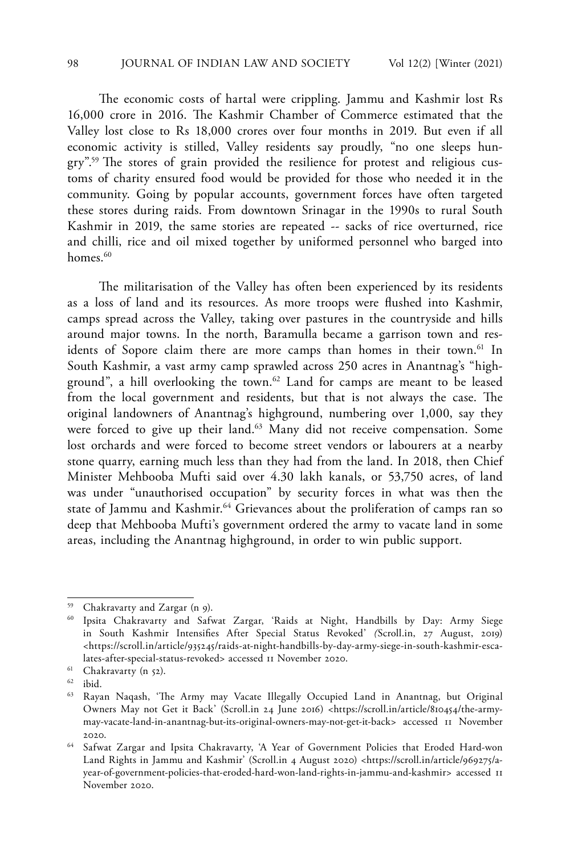The economic costs of hartal were crippling. Jammu and Kashmir lost Rs 16,000 crore in 2016. The Kashmir Chamber of Commerce estimated that the Valley lost close to Rs 18,000 crores over four months in 2019. But even if all economic activity is stilled, Valley residents say proudly, "no one sleeps hungry".59 The stores of grain provided the resilience for protest and religious customs of charity ensured food would be provided for those who needed it in the community. Going by popular accounts, government forces have often targeted these stores during raids. From downtown Srinagar in the 1990s to rural South Kashmir in 2019, the same stories are repeated -- sacks of rice overturned, rice and chilli, rice and oil mixed together by uniformed personnel who barged into homes.<sup>60</sup>

The militarisation of the Valley has often been experienced by its residents as a loss of land and its resources. As more troops were flushed into Kashmir, camps spread across the Valley, taking over pastures in the countryside and hills around major towns. In the north, Baramulla became a garrison town and residents of Sopore claim there are more camps than homes in their town.<sup>61</sup> In South Kashmir, a vast army camp sprawled across 250 acres in Anantnag's "highground", a hill overlooking the town.62 Land for camps are meant to be leased from the local government and residents, but that is not always the case. The original landowners of Anantnag's highground, numbering over 1,000, say they were forced to give up their land.<sup>63</sup> Many did not receive compensation. Some lost orchards and were forced to become street vendors or labourers at a nearby stone quarry, earning much less than they had from the land. In 2018, then Chief Minister Mehbooba Mufti said over 4.30 lakh kanals, or 53,750 acres, of land was under "unauthorised occupation" by security forces in what was then the state of Jammu and Kashmir.<sup>64</sup> Grievances about the proliferation of camps ran so deep that Mehbooba Mufti's government ordered the army to vacate land in some areas, including the Anantnag highground, in order to win public support.

<sup>59</sup> Chakravarty and Zargar (n 9).

<sup>60</sup> Ipsita Chakravarty and Safwat Zargar, 'Raids at Night, Handbills by Day: Army Siege in South Kashmir Intensifies After Special Status Revoked' *(*Scroll.in, 27 August, 2019) <https://scroll.in/article/935245/raids-at-night-handbills-by-day-army-siege-in-south-kashmir-escalates-after-special-status-revoked> accessed 11 November 2020.

 $61$  Chakravarty (n 52).

 $62$  ibid.

<sup>63</sup> Rayan Naqash, 'The Army may Vacate Illegally Occupied Land in Anantnag, but Original Owners May not Get it Back' (Scroll.in 24 June 2016) <https://scroll.in/article/810454/the-armymay-vacate-land-in-anantnag-but-its-original-owners-may-not-get-it-back> accessed 11 November 2020.

<sup>64</sup> Safwat Zargar and Ipsita Chakravarty, 'A Year of Government Policies that Eroded Hard-won Land Rights in Jammu and Kashmir' (Scroll.in 4 August 2020) <https://scroll.in/article/969275/ayear-of-government-policies-that-eroded-hard-won-land-rights-in-jammu-and-kashmir> accessed 11 November 2020.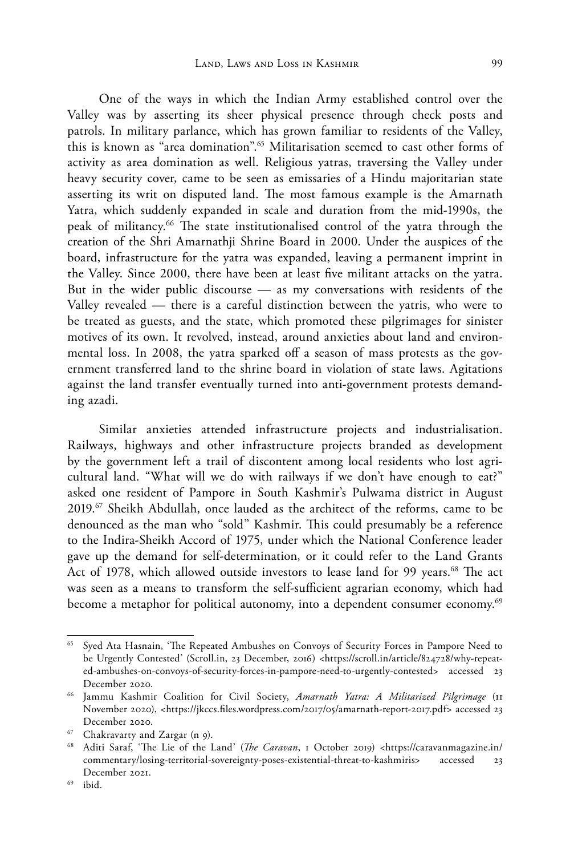One of the ways in which the Indian Army established control over the Valley was by asserting its sheer physical presence through check posts and patrols. In military parlance, which has grown familiar to residents of the Valley, this is known as "area domination".<sup>65</sup> Militarisation seemed to cast other forms of activity as area domination as well. Religious yatras, traversing the Valley under heavy security cover, came to be seen as emissaries of a Hindu majoritarian state asserting its writ on disputed land. The most famous example is the Amarnath Yatra, which suddenly expanded in scale and duration from the mid-1990s, the peak of militancy.<sup>66</sup> The state institutionalised control of the yatra through the creation of the Shri Amarnathji Shrine Board in 2000. Under the auspices of the board, infrastructure for the yatra was expanded, leaving a permanent imprint in the Valley. Since 2000, there have been at least five militant attacks on the yatra. But in the wider public discourse — as my conversations with residents of the Valley revealed — there is a careful distinction between the yatris, who were to be treated as guests, and the state, which promoted these pilgrimages for sinister motives of its own. It revolved, instead, around anxieties about land and environmental loss. In 2008, the yatra sparked off a season of mass protests as the government transferred land to the shrine board in violation of state laws. Agitations against the land transfer eventually turned into anti-government protests demanding azadi.

Similar anxieties attended infrastructure projects and industrialisation. Railways, highways and other infrastructure projects branded as development by the government left a trail of discontent among local residents who lost agricultural land. "What will we do with railways if we don't have enough to eat?" asked one resident of Pampore in South Kashmir's Pulwama district in August 2019.<sup>67</sup> Sheikh Abdullah, once lauded as the architect of the reforms, came to be denounced as the man who "sold" Kashmir. This could presumably be a reference to the Indira-Sheikh Accord of 1975, under which the National Conference leader gave up the demand for self-determination, or it could refer to the Land Grants Act of 1978, which allowed outside investors to lease land for 99 years.<sup>68</sup> The act was seen as a means to transform the self-sufficient agrarian economy, which had become a metaphor for political autonomy, into a dependent consumer economy.<sup>69</sup>

<sup>&</sup>lt;sup>65</sup> Syed Ata Hasnain, 'The Repeated Ambushes on Convoys of Security Forces in Pampore Need to be Urgently Contested' (Scroll.in, 23 December, 2016) <https://scroll.in/article/824728/why-repeated-ambushes-on-convoys-of-security-forces-in-pampore-need-to-urgently-contested> accessed 23 December 2020.

<sup>66</sup> Jammu Kashmir Coalition for Civil Society, *Amarnath Yatra: A Militarized Pilgrimage* (11 November 2020), <https://jkccs.files.wordpress.com/2017/05/amarnath-report-2017.pdf> accessed 23 December 2020.

<sup>67</sup> Chakravarty and Zargar (n 9).

<sup>68</sup> Aditi Saraf, 'The Lie of the Land' (*The Caravan*, 1 October 2019) <https://caravanmagazine.in/ commentary/losing-territorial-sovereignty-poses-existential-threat-to-kashmiris> accessed 23 December 2021.

 $69$  ibid.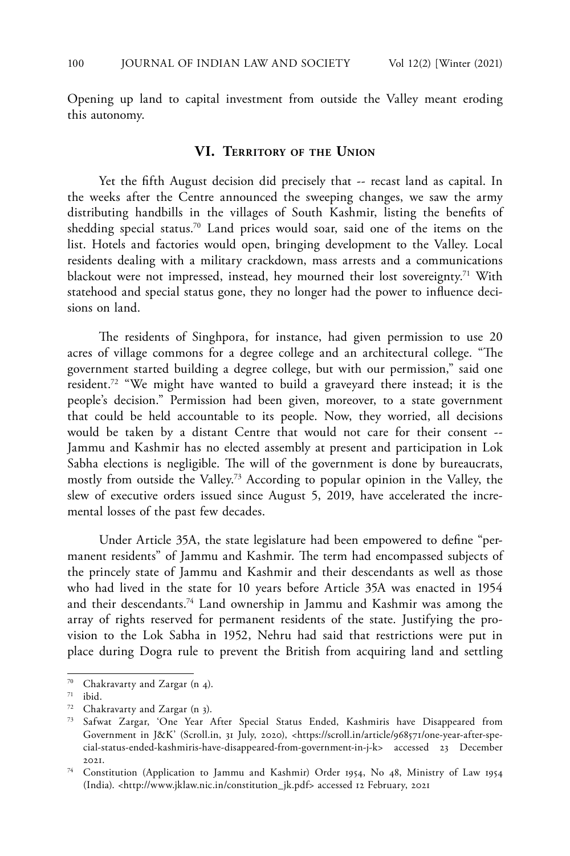Opening up land to capital investment from outside the Valley meant eroding this autonomy.

#### **VI. Territory of the Union**

Yet the fifth August decision did precisely that -- recast land as capital. In the weeks after the Centre announced the sweeping changes, we saw the army distributing handbills in the villages of South Kashmir, listing the benefits of shedding special status.70 Land prices would soar, said one of the items on the list. Hotels and factories would open, bringing development to the Valley. Local residents dealing with a military crackdown, mass arrests and a communications blackout were not impressed, instead, hey mourned their lost sovereignty.<sup>71</sup> With statehood and special status gone, they no longer had the power to influence decisions on land.

The residents of Singhpora, for instance, had given permission to use 20 acres of village commons for a degree college and an architectural college. "The government started building a degree college, but with our permission," said one resident.72 "We might have wanted to build a graveyard there instead; it is the people's decision." Permission had been given, moreover, to a state government that could be held accountable to its people. Now, they worried, all decisions would be taken by a distant Centre that would not care for their consent -- Jammu and Kashmir has no elected assembly at present and participation in Lok Sabha elections is negligible. The will of the government is done by bureaucrats, mostly from outside the Valley.73 According to popular opinion in the Valley, the slew of executive orders issued since August 5, 2019, have accelerated the incremental losses of the past few decades.

Under Article 35A, the state legislature had been empowered to define "permanent residents" of Jammu and Kashmir. The term had encompassed subjects of the princely state of Jammu and Kashmir and their descendants as well as those who had lived in the state for 10 years before Article 35A was enacted in 1954 and their descendants.74 Land ownership in Jammu and Kashmir was among the array of rights reserved for permanent residents of the state. Justifying the provision to the Lok Sabha in 1952, Nehru had said that restrictions were put in place during Dogra rule to prevent the British from acquiring land and settling

Chakravarty and Zargar (n 4).

 $71$  ibid.

<sup>72</sup> Chakravarty and Zargar (n 3).

<sup>73</sup> Safwat Zargar, 'One Year After Special Status Ended, Kashmiris have Disappeared from Government in J&K' (Scroll.in, 31 July, 2020), <https://scroll.in/article/968571/one-year-after-special-status-ended-kashmiris-have-disappeared-from-government-in-j-k> accessed 23 December 2021.

<sup>74</sup> Constitution (Application to Jammu and Kashmir) Order 1954, No 48, Ministry of Law 1954 (India). <http://www.jklaw.nic.in/constitution\_jk.pdf> accessed 12 February, 2021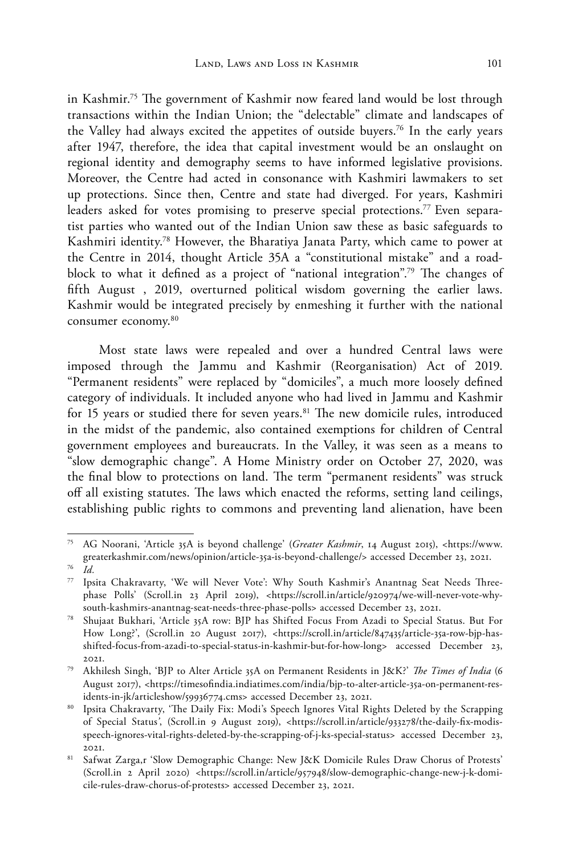in Kashmir.75 The government of Kashmir now feared land would be lost through transactions within the Indian Union; the "delectable" climate and landscapes of the Valley had always excited the appetites of outside buyers.76 In the early years after 1947, therefore, the idea that capital investment would be an onslaught on regional identity and demography seems to have informed legislative provisions. Moreover, the Centre had acted in consonance with Kashmiri lawmakers to set up protections. Since then, Centre and state had diverged. For years, Kashmiri leaders asked for votes promising to preserve special protections.<sup>77</sup> Even separatist parties who wanted out of the Indian Union saw these as basic safeguards to Kashmiri identity.78 However, the Bharatiya Janata Party, which came to power at the Centre in 2014, thought Article 35A a "constitutional mistake" and a roadblock to what it defined as a project of "national integration".79 The changes of fifth August , 2019, overturned political wisdom governing the earlier laws. Kashmir would be integrated precisely by enmeshing it further with the national consumer economy.<sup>80</sup>

Most state laws were repealed and over a hundred Central laws were imposed through the Jammu and Kashmir (Reorganisation) Act of 2019. "Permanent residents" were replaced by "domiciles", a much more loosely defined category of individuals. It included anyone who had lived in Jammu and Kashmir for 15 years or studied there for seven years.<sup>81</sup> The new domicile rules, introduced in the midst of the pandemic, also contained exemptions for children of Central government employees and bureaucrats. In the Valley, it was seen as a means to "slow demographic change". A Home Ministry order on October 27, 2020, was the final blow to protections on land. The term "permanent residents" was struck off all existing statutes. The laws which enacted the reforms, setting land ceilings, establishing public rights to commons and preventing land alienation, have been

<sup>75</sup> AG Noorani, 'Article 35A is beyond challenge' (*Greater Kashmir*, 14 August 2015), <https://www. greaterkashmir.com/news/opinion/article-35a-is-beyond-challenge/> accessed December 23, 2021. <sup>76</sup> *Id.*

<sup>77</sup> Ipsita Chakravarty, 'We will Never Vote': Why South Kashmir's Anantnag Seat Needs Threephase Polls' (Scroll.in 23 April 2019), <https://scroll.in/article/920974/we-will-never-vote-whysouth-kashmirs-anantnag-seat-needs-three-phase-polls> accessed December 23, 2021.

<sup>78</sup> Shujaat Bukhari, 'Article 35A row: BJP has Shifted Focus From Azadi to Special Status. But For How Long?', (Scroll.in 20 August 2017), <https://scroll.in/article/847435/article-35a-row-bjp-hasshifted-focus-from-azadi-to-special-status-in-kashmir-but-for-how-long> accessed December 23, 2021.

<sup>79</sup> Akhilesh Singh, 'BJP to Alter Article 35A on Permanent Residents in J&K?' *The Times of India* (6 August 2017), <https://timesofindia.indiatimes.com/india/bjp-to-alter-article-35a-on-permanent-residents-in-jk/articleshow/59936774.cms> accessed December 23, 2021.

<sup>80</sup> Ipsita Chakravarty, 'The Daily Fix: Modi's Speech Ignores Vital Rights Deleted by the Scrapping of Special Status*'*, (Scroll.in 9 August 2019), <https://scroll.in/article/933278/the-daily-fix-modisspeech-ignores-vital-rights-deleted-by-the-scrapping-of-j-ks-special-status> accessed December 23, 2021.

<sup>81</sup> Safwat Zarga,r 'Slow Demographic Change: New J&K Domicile Rules Draw Chorus of Protests' (Scroll.in 2 April 2020) <https://scroll.in/article/957948/slow-demographic-change-new-j-k-domicile-rules-draw-chorus-of-protests> accessed December 23, 2021.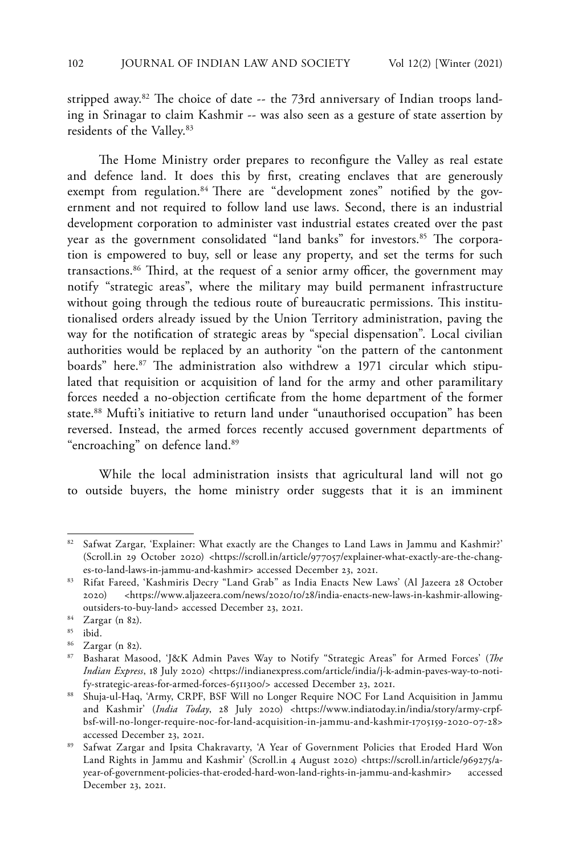stripped away.<sup>82</sup> The choice of date  $-$  the 73rd anniversary of Indian troops landing in Srinagar to claim Kashmir -- was also seen as a gesture of state assertion by residents of the Valley.83

The Home Ministry order prepares to reconfigure the Valley as real estate and defence land. It does this by first, creating enclaves that are generously exempt from regulation.<sup>84</sup> There are "development zones" notified by the government and not required to follow land use laws. Second, there is an industrial development corporation to administer vast industrial estates created over the past year as the government consolidated "land banks" for investors.<sup>85</sup> The corporation is empowered to buy, sell or lease any property, and set the terms for such transactions.86 Third, at the request of a senior army officer, the government may notify "strategic areas", where the military may build permanent infrastructure without going through the tedious route of bureaucratic permissions. This institutionalised orders already issued by the Union Territory administration, paving the way for the notification of strategic areas by "special dispensation". Local civilian authorities would be replaced by an authority "on the pattern of the cantonment boards" here.<sup>87</sup> The administration also withdrew a 1971 circular which stipulated that requisition or acquisition of land for the army and other paramilitary forces needed a no-objection certificate from the home department of the former state.<sup>88</sup> Mufti's initiative to return land under "unauthorised occupation" has been reversed. Instead, the armed forces recently accused government departments of "encroaching" on defence land.<sup>89</sup>

While the local administration insists that agricultural land will not go to outside buyers, the home ministry order suggests that it is an imminent

<sup>82</sup> Safwat Zargar, 'Explainer: What exactly are the Changes to Land Laws in Jammu and Kashmir?' (Scroll.in 29 October 2020) <https://scroll.in/article/977057/explainer-what-exactly-are-the-changes-to-land-laws-in-jammu-and-kashmir> accessed December 23, 2021.

<sup>83</sup> Rifat Fareed, 'Kashmiris Decry "Land Grab" as India Enacts New Laws' (Al Jazeera 28 October 2020) <https://www.aljazeera.com/news/2020/10/28/india-enacts-new-laws-in-kashmir-allowingoutsiders-to-buy-land> accessed December 23, 2021.

<sup>84</sup> Zargar (n 82).

<sup>85</sup> ibid.

<sup>86</sup> Zargar (n 82).

<sup>87</sup> Basharat Masood, 'J&K Admin Paves Way to Notify "Strategic Areas" for Armed Forces' (*The Indian Express*, 18 July 2020) <https://indianexpress.com/article/india/j-k-admin-paves-way-to-notify-strategic-areas-for-armed-forces-6511300/> accessed December 23, 2021.

<sup>88</sup> Shuja-ul-Haq, 'Army, CRPF, BSF Will no Longer Require NOC For Land Acquisition in Jammu and Kashmir' (*India Today*, 28 July 2020) <https://www.indiatoday.in/india/story/army-crpfbsf-will-no-longer-require-noc-for-land-acquisition-in-jammu-and-kashmir-1705159-2020-07-28> accessed December 23, 2021.

<sup>89</sup> Safwat Zargar and Ipsita Chakravarty, 'A Year of Government Policies that Eroded Hard Won Land Rights in Jammu and Kashmir' (Scroll.in 4 August 2020) <https://scroll.in/article/969275/ayear-of-government-policies-that-eroded-hard-won-land-rights-in-jammu-and-kashmir> accessed December 23, 2021.